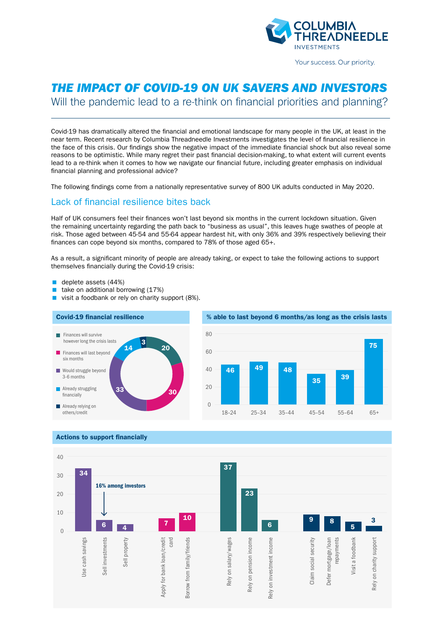

Your success. Our priority.

# *THE IMPACT OF COVID-19 ON UK SAVERS AND INVESTORS*

Will the pandemic lead to a re-think on financial priorities and planning?

Covid-19 has dramatically altered the financial and emotional landscape for many people in the UK, at least in the near term. Recent research by Columbia Threadneedle Investments investigates the level of financial resilience in the face of this crisis. Our findings show the negative impact of the immediate financial shock but also reveal some reasons to be optimistic. While many regret their past financial decision-making, to what extent will current events lead to a re-think when it comes to how we navigate our financial future, including greater emphasis on individual financial planning and professional advice?

The following findings come from a nationally representative survey of 800 UK adults conducted in May 2020.

### Lack of financial resilience bites back

Half of UK consumers feel their finances won't last beyond six months in the current lockdown situation. Given the remaining uncertainty regarding the path back to "business as usual", this leaves huge swathes of people at risk. Those aged between 45-54 and 55-64 appear hardest hit, with only 36% and 39% respectively believing their finances can cope beyond six months, compared to 78% of those aged 65+.

As a result, a significant minority of people are already taking, or expect to take the following actions to support themselves financially during the Covid-19 crisis:

- deplete assets (44%)
- take on additional borrowing (17%)
- visit a foodbank or rely on charity support (8%).





#### Actions to support financially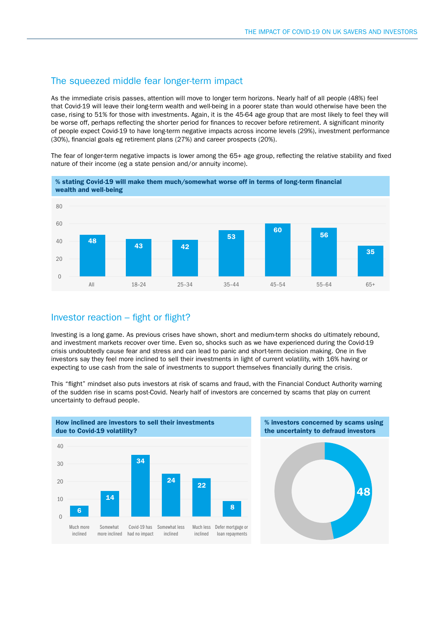### The squeezed middle fear longer-term impact

As the immediate crisis passes, attention will move to longer term horizons. Nearly half of all people (48%) feel that Covid-19 will leave their long-term wealth and well-being in a poorer state than would otherwise have been the case, rising to 51% for those with investments. Again, it is the 45-64 age group that are most likely to feel they will be worse off, perhaps reflecting the shorter period for finances to recover before retirement. A significant minority of people expect Covid-19 to have long-term negative impacts across income levels (29%), investment performance (30%), financial goals eg retirement plans (27%) and career prospects (20%).

The fear of longer-term negative impacts is lower among the 65+ age group, reflecting the relative stability and fixed nature of their income (eg a state pension and/or annuity income).



## Investor reaction - fight or flight?

20

Investing is a long game. As previous crises have shown, short and medium-term shocks do ultimately rebound, and investment markets recover over time. Even so, shocks such as we have experienced during the Covid-19 0 crisis undoubtedly cause fear and stress and can lead to panic and short-term decision making. One in five investors say they feel more inclined to sell their investments in light of current volatility, with 16% having or investors say they feel more inclined to sell their investments in light of current volatility, with 16% ha invested buy they feel more momed to ben them investments in light of carrent velating, while 19% having of expecting to use cash from the sale of investments to support themselves financially during the crisis.

This "flight" mindset also puts investors at risk of scams and fraud, with the Financial Conduct Authority warning 40 of the sudden rise in scams post-Covid. Nearly half of investors are concerned by scams that play on current 34 uncertainty to defraud people. 30



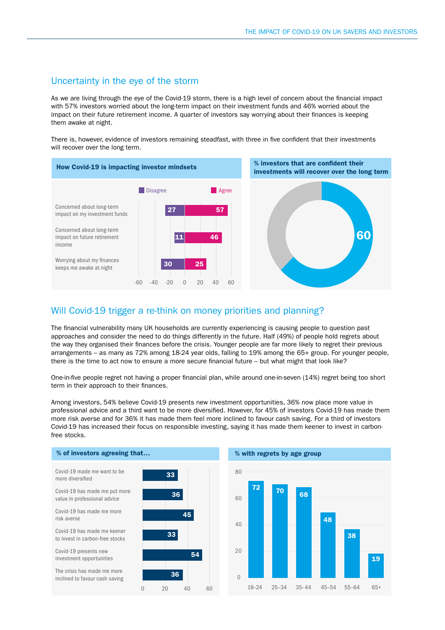### Uncertainty in the eye of the storm

As we are living through the eye of the Covid-19 storm, there is a high level of concern about the financial impact with 57% investors worried about the long-term impact on their investment funds and 46% worried about the impact on their future retirement income. A quarter of investors say worrying about their finances is keeping them awake at night.

There is, however, evidence of investors remaining steadfast, with three in five confident that their investments will recover over the long term.



### Will Covid-19 trigger a re-think on money priorities and planning?

The financial vulnerability many UK households are currently experiencing is causing people to question past approaches and consider the need to do things differently in the future. Half (49%) of people hold regrets about the way they organised their finances before the crisis. Younger people are far more likely to regret their previous arrangements – as many as 72% among 18-24 year olds, falling to 19% among the 65+ group. For younger people, there is the time to act now to ensure a more secure financial future – but what might that look like?

One-in-five people regret not having a proper financial plan, while around one-in-seven (14%) regret being too short term in their approach to their finances.

Among investors, 54% believe Covid-19 presents new investment opportunities, 36% now place more value in professional advice and a third want to be more diversified. However, for 45% of investors Covid-19 has made them more risk averse and for 36% it has made them feel more inclined to favour cash saving. For a third of investors Covid-19 has increased their focus on responsible investing, saying it has made them keener to invest in carbonfree stocks.